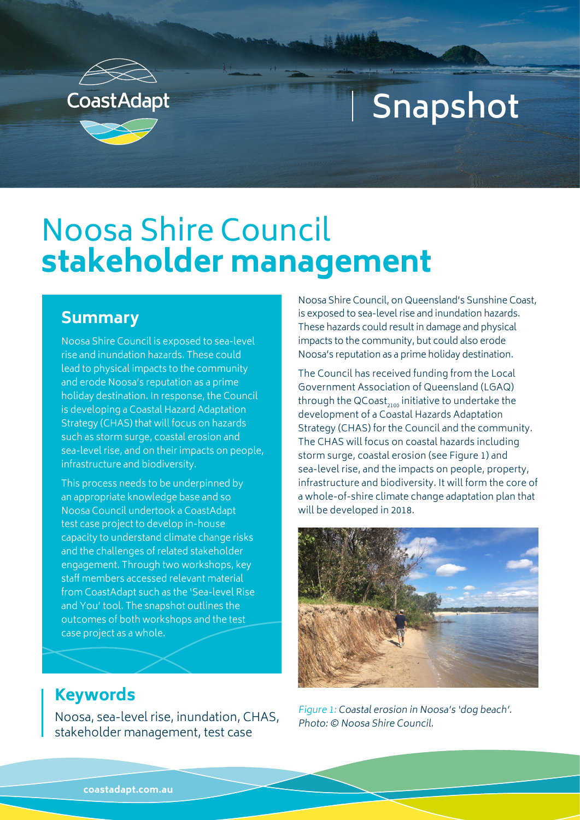

# **Snapshot**

## Noosa Shire Council **stakeholder management**

### **Summary**

Noosa Shire Council is exposed to sea-level rise and inundation hazards. These could lead to physical impacts to the community and erode Noosa's reputation as a prime holiday destination. In response, the Council is developing a Coastal Hazard Adaptation Strategy (CHAS) that will focus on hazards such as storm surge, coastal erosion and sea-level rise, and on their impacts on people, infrastructure and biodiversity.

This process needs to be underpinned by an appropriate knowledge base and so Noosa Council undertook a CoastAdapt test case project to develop in-house capacity to understand climate change risks and the challenges of related stakeholder engagement. Through two workshops, key staff members accessed relevant material from CoastAdapt such as the 'Sea-level Rise and You' tool. The snapshot outlines the outcomes of both workshops and the test case project as a whole.

Noosa Shire Council, on Queensland's Sunshine Coast, is exposed to sea-level rise and inundation hazards. These hazards could result in damage and physical impacts to the community, but could also erode Noosa's reputation as a prime holiday destination.

The Council has received funding from the Local Government Association of Queensland (LGAQ) through the  $QCoast_{2100}$  initiative to undertake the development of a Coastal Hazards Adaptation Strategy (CHAS) for the Council and the community. The CHAS will focus on coastal hazards including storm surge, coastal erosion (see Figure 1) and sea-level rise, and the impacts on people, property, infrastructure and biodiversity. It will form the core of a whole-of-shire climate change adaptation plan that will be developed in 2018.



#### Figure 1: Coastal erosion in Noosa's 'dog beach'. Photo: © Noosa Shire Council.

## **Keywords**

Noosa, sea-level rise, inundation, CHAS, stakeholder management, test case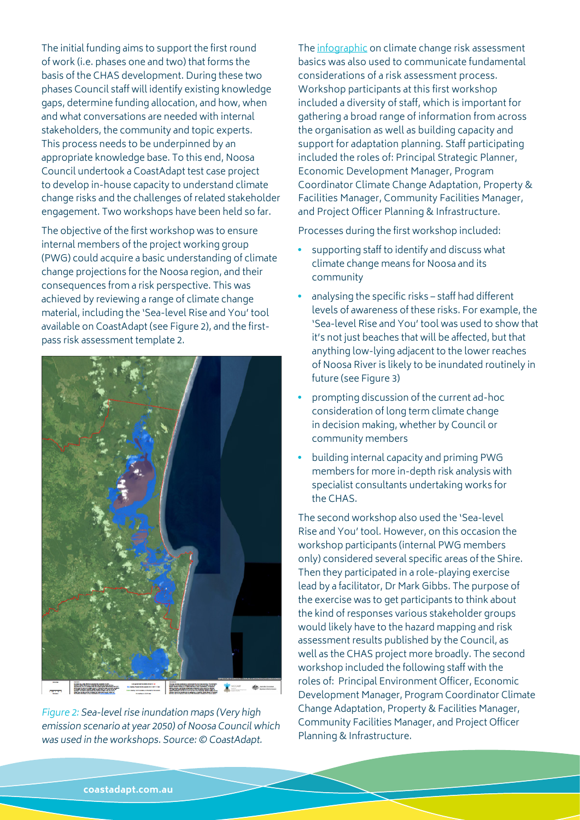The initial funding aims to support the first round of work (i.e. phases one and two) that forms the basis of the CHAS development. During these two phases Council staff will identify existing knowledge gaps, determine funding allocation, and how, when and what conversations are needed with internal stakeholders, the community and topic experts. This process needs to be underpinned by an appropriate knowledge base. To this end, Noosa Council undertook a CoastAdapt test case project to develop in-house capacity to understand climate change risks and the challenges of related stakeholder engagement. Two workshops have been held so far.

The objective of the first workshop was to ensure internal members of the project working group (PWG) could acquire a basic understanding of climate change projections for the Noosa region, and their consequences from a risk perspective. This was achieved by reviewing a range of climate change material, including the 'Sea-level Rise and You' tool available on CoastAdapt (see Figure 2), and the firstpass risk assessment template 2.



Figure 2: Sea-level rise inundation maps (Very high emission scenario at year 2050) of Noosa Council which was used in the workshops. Source: © CoastAdapt.

The [infographic](https://coastadapt.com.au/sites/default/files/infographics/Climate_change_risk_assessment_basics.pdf) on climate change risk assessment basics was also used to communicate fundamental considerations of a risk assessment process. Workshop participants at this first workshop included a diversity of staff, which is important for gathering a broad range of information from across the organisation as well as building capacity and support for adaptation planning. Staff participating included the roles of: Principal Strategic Planner, Economic Development Manager, Program Coordinator Climate Change Adaptation, Property & Facilities Manager, Community Facilities Manager, and Project Officer Planning & Infrastructure.

Processes during the first workshop included:

- supporting staff to identify and discuss what climate change means for Noosa and its community
- analysing the specific risks staff had different levels of awareness of these risks. For example, the 'Sea-level Rise and You' tool was used to show that it's not just beaches that will be affected, but that anything low-lying adjacent to the lower reaches of Noosa River is likely to be inundated routinely in future (see Figure 3)
- prompting discussion of the current ad-hoc consideration of long term climate change in decision making, whether by Council or community members
- building internal capacity and priming PWG members for more in-depth risk analysis with specialist consultants undertaking works for the CHAS.

The second workshop also used the 'Sea-level Rise and You' tool. However, on this occasion the workshop participants (internal PWG members only) considered several specific areas of the Shire. Then they participated in a role-playing exercise lead by a facilitator, Dr Mark Gibbs. The purpose of the exercise was to get participants to think about the kind of responses various stakeholder groups would likely have to the hazard mapping and risk assessment results published by the Council, as well as the CHAS project more broadly. The second workshop included the following staff with the roles of: Principal Environment Officer, Economic Development Manager, Program Coordinator Climate Change Adaptation, Property & Facilities Manager, Community Facilities Manager, and Project Officer Planning & Infrastructure.